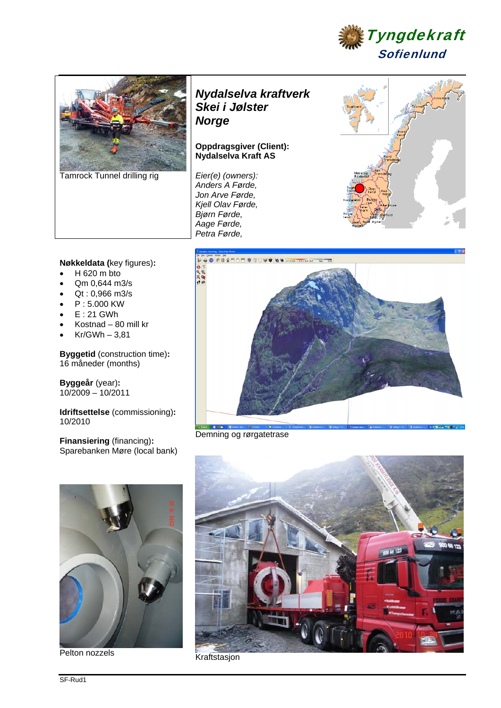



Tamrock Tunnel drilling rig

# *Nydalselva kraftverk Skei i Jølster Norge*

### **Oppdragsgiver (Client): Nydalselva Kraft AS**

*Eier(e) (owners): Anders A Førde, Jon Arve Førde, Kjell Olav Førde, Bjørn Førde, Aage Førde, Petra Førde,* 



## **Nøkkeldata (**key figures)**:**

- $H$  620 m bto
- Qm 0,644 m3/s
- Qt : 0,966 m3/s
- P : 5.000 KW
- $E: 21$  GWh
- Kostnad 80 mill kr
- $Kr/GWh 3,81$

**Byggetid** (construction time)**:**  16 måneder (months)

**Byggeår** (year)**:**  10/2009 – 10/2011

**Idriftsettelse** (commissioning)**:**  10/2010

**Finansiering** (financing)**:**  Sparebanken Møre (local bank)



Demning og rørgatetrase



Pelton nozzels<br>
Kraftstasjon